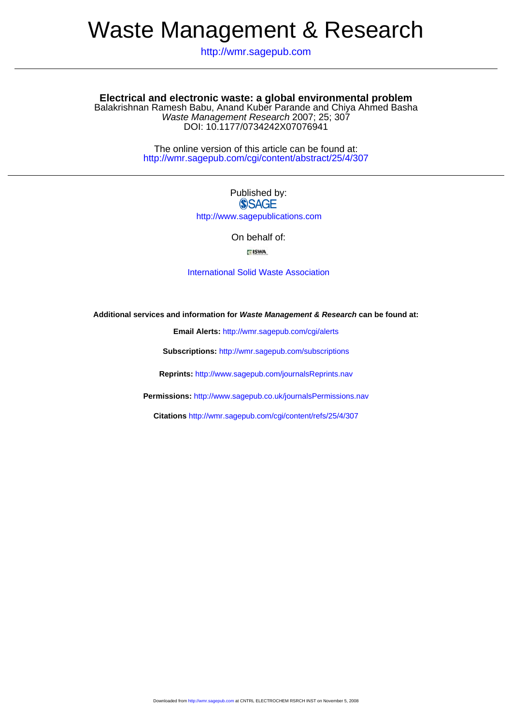# Waste Management & Research

http://wmr.sagepub.com

# **Electrical and electronic waste: a global environmental problem**

DOI: 10.1177/0734242X07076941 Waste Management Research 2007; 25; 307 Balakrishnan Ramesh Babu, Anand Kuber Parande and Chiya Ahmed Basha

> http://wmr.sagepub.com/cgi/content/abstract/25/4/307 The online version of this article can be found at:

> > Published by: **SSAGE** http://www.sagepublications.com

> > > On behalf of:

**E** ISWA

[International Solid Waste Association](http://www.iswa.org//web/guest/home)

**Additional services and information for Waste Management & Research can be found at:**

**Email Alerts:** <http://wmr.sagepub.com/cgi/alerts>

**Subscriptions:** <http://wmr.sagepub.com/subscriptions>

**Reprints:** <http://www.sagepub.com/journalsReprints.nav>

**Permissions:** <http://www.sagepub.co.uk/journalsPermissions.nav>

**Citations** <http://wmr.sagepub.com/cgi/content/refs/25/4/307>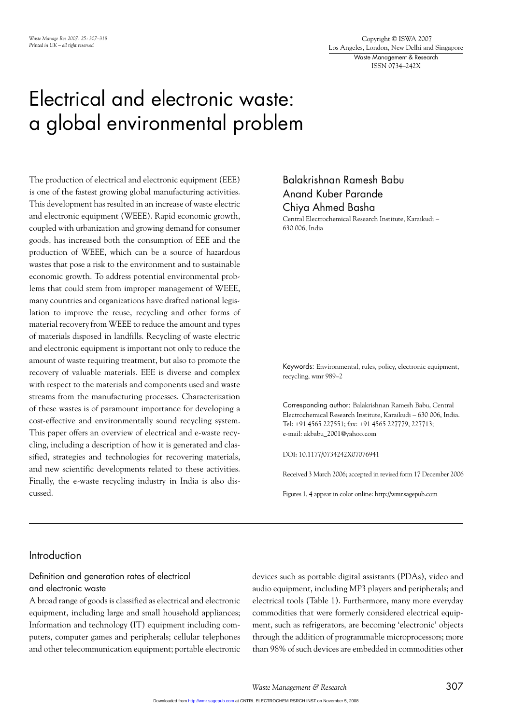Copyright © ISWA 2007 Los Angeles, London, New Delhi and Singapore Waste Management & Research ISSN 0734–242X

# Electrical and electronic waste: a global environmental problem

The production of electrical and electronic equipment (EEE) is one of the fastest growing global manufacturing activities. This development has resulted in an increase of waste electric and electronic equipment (WEEE). Rapid economic growth, coupled with urbanization and growing demand for consumer goods, has increased both the consumption of EEE and the production of WEEE, which can be a source of hazardous wastes that pose a risk to the environment and to sustainable economic growth. To address potential environmental problems that could stem from improper management of WEEE, many countries and organizations have drafted national legislation to improve the reuse, recycling and other forms of material recovery from WEEE to reduce the amount and types of materials disposed in landfills. Recycling of waste electric and electronic equipment is important not only to reduce the amount of waste requiring treatment, but also to promote the recovery of valuable materials. EEE is diverse and complex with respect to the materials and components used and waste streams from the manufacturing processes. Characterization of these wastes is of paramount importance for developing a cost-effective and environmentally sound recycling system. This paper offers an overview of electrical and e-waste recycling, including a description of how it is generated and classified, strategies and technologies for recovering materials, and new scientific developments related to these activities. Finally, the e-waste recycling industry in India is also discussed.

# Balakrishnan Ramesh Babu Anand Kuber Parande Chiya Ahmed Basha

Central Electrochemical Research Institute, Karaikudi – 630 006, India

Keywords: Environmental, rules, policy, electronic equipment, recycling, wmr 989–2

Corresponding author: Balakrishnan Ramesh Babu, Central Electrochemical Research Institute, Karaikudi – 630 006, India. Tel: +91 4565 227551; fax: +91 4565 227779, 227713; e-mail: akbabu\_2001@yahoo.com

DOI: 10.1177/0734242X07076941

Received 3 March 2006; accepted in revised form 17 December 2006

Figures 1, 4 appear in color online: http://wmr.sagepub.com

# Introduction

## Definition and generation rates of electrical and electronic waste

A broad range of goods is classified as electrical and electronic equipment, including large and small household appliances; Information and technology **(**IT) equipment including computers, computer games and peripherals; cellular telephones and other telecommunication equipment; portable electronic devices such as portable digital assistants (PDAs), video and audio equipment, including MP3 players and peripherals; and electrical tools (Table 1). Furthermore, many more everyday commodities that were formerly considered electrical equipment, such as refrigerators, are becoming 'electronic' objects through the addition of programmable microprocessors; more than 98% of such devices are embedded in commodities other

*Waste Management & Research* 307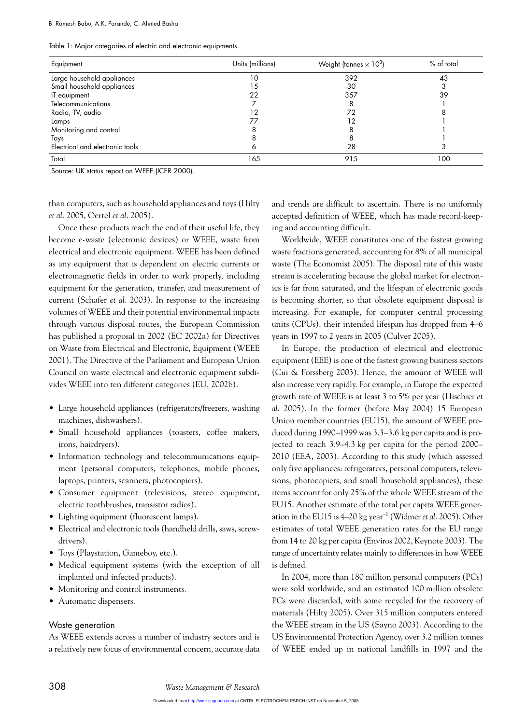| Table 1: Major categories of electric and electronic equipments. |
|------------------------------------------------------------------|
|------------------------------------------------------------------|

| Equipment                       | Units (millions) | Weight (tonnes $\times$ 10 <sup>3</sup> ) | % of total |
|---------------------------------|------------------|-------------------------------------------|------------|
| Large household appliances      | 10               | 392                                       | 43         |
| Small household appliances      | 15               | 30                                        |            |
| IT equipment                    | 22               | 357                                       | 39         |
| Telecommunications              |                  | 8                                         |            |
| Radio, TV, audio                |                  | 72                                        |            |
| Lamps                           |                  | $^{\circ}2$                               |            |
| Monitoring and control          |                  |                                           |            |
| Toys                            |                  | ሾ                                         |            |
| Electrical and electronic tools |                  | 28                                        |            |
| Total                           | 165              | 915                                       | 100        |

Source: UK status report on WEEE (ICER 2000).

than computers, such as household appliances and toys (Hilty *et al*. 2005, Oertel *et al*. 2005).

Once these products reach the end of their useful life, they become e-waste (electronic devices) or WEEE, waste from electrical and electronic equipment. WEEE has been defined as any equipment that is dependent on electric currents or electromagnetic fields in order to work properly, including equipment for the generation, transfer, and measurement of current (Schafer *et al*. 2003). In response to the increasing volumes of WEEE and their potential environmental impacts through various disposal routes, the European Commission has published a proposal in 2002 (EC 2002a) for Directives on Waste from Electrical and Electronic, Equipment (WEEE 2001). The Directive of the Parliament and European Union Council on waste electrical and electronic equipment subdivides WEEE into ten different categories (EU, 2002b).

- Large household appliances (refrigerators/freezers, washing machines, dishwashers).
- Small household appliances (toasters, coffee makers, irons, hairdryers).
- Information technology and telecommunications equipment (personal computers, telephones, mobile phones, laptops, printers, scanners, photocopiers).
- Consumer equipment (televisions, stereo equipment, electric toothbrushes, transistor radios).
- Lighting equipment (fluorescent lamps).
- Electrical and electronic tools (handheld drills, saws, screwdrivers).
- Toys (Playstation, Gameboy, etc.).
- Medical equipment systems (with the exception of all implanted and infected products).
- Monitoring and control instruments.
- Automatic dispensers.

## Waste generation

As WEEE extends across a number of industry sectors and is a relatively new focus of environmental concern, accurate data and trends are difficult to ascertain. There is no uniformly accepted definition of WEEE, which has made record-keeping and accounting difficult.

Worldwide, WEEE constitutes one of the fastest growing waste fractions generated, accounting for 8% of all municipal waste (The Economist 2005). The disposal rate of this waste stream is accelerating because the global market for electronics is far from saturated, and the lifespan of electronic goods is becoming shorter, so that obsolete equipment disposal is increasing. For example, for computer central processing units (CPUs), their intended lifespan has dropped from 4–6 years in 1997 to 2 years in 2005 (Culver 2005).

In Europe, the production of electrical and electronic equipment (EEE) is one of the fastest growing business sectors (Cui & Forssberg 2003). Hence, the amount of WEEE will also increase very rapidly. For example, in Europe the expected growth rate of WEEE is at least 3 to 5% per year (Hischier *et al*. 2005). In the former (before May 2004) 15 European Union member countries (EU15), the amount of WEEE produced during 1990–1999 was 3.3–3.6 kg per capita and is projected to reach 3.9–4.3 kg per capita for the period 2000– 2010 (EEA, 2003). According to this study (which assessed only five appliances: refrigerators, personal computers, televisions, photocopiers, and small household appliances), these items account for only 25% of the whole WEEE stream of the EU15. Another estimate of the total per capita WEEE generation in the EU15 is 4–20 kg year–1 (Widmer *et al*. 2005). Other estimates of total WEEE generation rates for the EU range from 14 to 20 kg per capita (Enviros 2002, Keynote 2003). The range of uncertainty relates mainly to differences in how WEEE is defined.

In 2004, more than 180 million personal computers (PCs) were sold worldwide, and an estimated 100 million obsolete PCs were discarded, with some recycled for the recovery of materials (Hilty 2005). Over 315 million computers entered the WEEE stream in the US (Sayno 2003). According to the US Environmental Protection Agency, over 3.2 million tonnes of WEEE ended up in national landfills in 1997 and the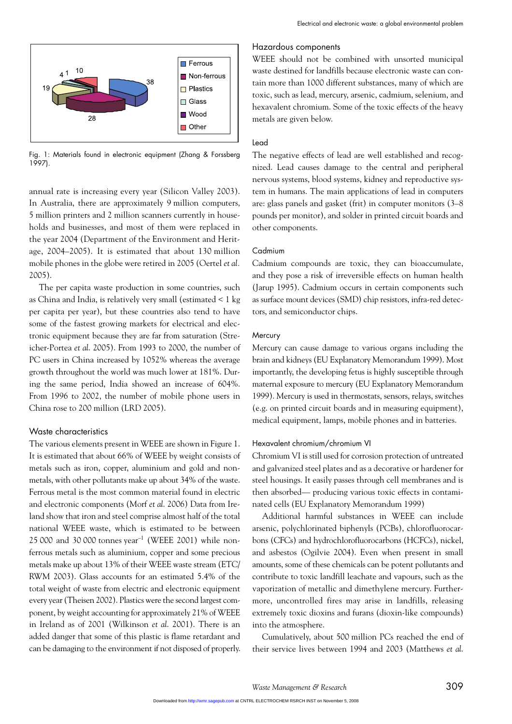

Fig. 1: Materials found in electronic equipment (Zhang & Forssberg 1997).

annual rate is increasing every year (Silicon Valley 2003). In Australia, there are approximately 9 million computers, 5 million printers and 2 million scanners currently in households and businesses, and most of them were replaced in the year 2004 (Department of the Environment and Heritage, 2004–2005). It is estimated that about 130 million mobile phones in the globe were retired in 2005 (Oertel *et al.* 2005).

The per capita waste production in some countries, such as China and India, is relatively very small (estimated < 1 kg per capita per year), but these countries also tend to have some of the fastest growing markets for electrical and electronic equipment because they are far from saturation (Streicher-Portea *et al*. 2005). From 1993 to 2000, the number of PC users in China increased by 1052% whereas the average growth throughout the world was much lower at 181%. During the same period, India showed an increase of 604%. From 1996 to 2002, the number of mobile phone users in China rose to 200 million (LRD 2005).

#### Waste characteristics

The various elements present in WEEE are shown in Figure 1. It is estimated that about 66% of WEEE by weight consists of metals such as iron, copper, aluminium and gold and nonmetals, with other pollutants make up about 34% of the waste. Ferrous metal is the most common material found in electric and electronic components (Morf *et al*. 2006) Data from Ireland show that iron and steel comprise almost half of the total national WEEE waste, which is estimated to be between  $25000$  and  $30000$  tonnes year<sup>-1</sup> (WEEE 2001) while nonferrous metals such as aluminium, copper and some precious metals make up about 13% of their WEEE waste stream (ETC/ RWM 2003). Glass accounts for an estimated 5.4% of the total weight of waste from electric and electronic equipment every year (Theisen 2002). Plastics were the second largest component, by weight accounting for approximately 21% of WEEE in Ireland as of 2001 (Wilkinson *et al*. 2001). There is an added danger that some of this plastic is flame retardant and can be damaging to the environment if not disposed of properly.

#### Hazardous components

WEEE should not be combined with unsorted municipal waste destined for landfills because electronic waste can contain more than 1000 different substances, many of which are toxic, such as lead, mercury, arsenic, cadmium, selenium, and hexavalent chromium. Some of the toxic effects of the heavy metals are given below.

#### Lead

The negative effects of lead are well established and recognized. Lead causes damage to the central and peripheral nervous systems, blood systems, kidney and reproductive system in humans. The main applications of lead in computers are: glass panels and gasket (frit) in computer monitors (3–8 pounds per monitor), and solder in printed circuit boards and other components.

### Cadmium

Cadmium compounds are toxic, they can bioaccumulate, and they pose a risk of irreversible effects on human health (Jarup 1995). Cadmium occurs in certain components such as surface mount devices (SMD) chip resistors, infra-red detectors, and semiconductor chips.

#### **Mercury**

Mercury can cause damage to various organs including the brain and kidneys (EU Explanatory Memorandum 1999). Most importantly, the developing fetus is highly susceptible through maternal exposure to mercury (EU Explanatory Memorandum 1999). Mercury is used in thermostats, sensors, relays, switches (e.g. on printed circuit boards and in measuring equipment), medical equipment, lamps, mobile phones and in batteries.

## Hexavalent chromium/chromium VI

Chromium VI is still used for corrosion protection of untreated and galvanized steel plates and as a decorative or hardener for steel housings. It easily passes through cell membranes and is then absorbed— producing various toxic effects in contaminated cells (EU Explanatory Memorandum 1999)

Additional harmful substances in WEEE can include arsenic, polychlorinated biphenyls (PCBs), chlorofluorocarbons (CFCs) and hydrochlorofluorocarbons (HCFCs), nickel, and asbestos (Ogilvie 2004). Even when present in small amounts, some of these chemicals can be potent pollutants and contribute to toxic landfill leachate and vapours, such as the vaporization of metallic and dimethylene mercury. Furthermore, uncontrolled fires may arise in landfills, releasing extremely toxic dioxins and furans (dioxin-like compounds) into the atmosphere.

Cumulatively, about 500 million PCs reached the end of their service lives between 1994 and 2003 (Matthews *et al*.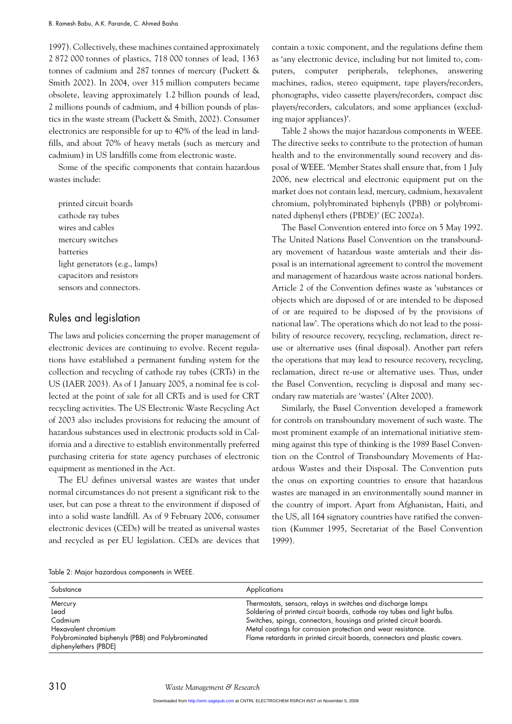1997). Collectively, these machines contained approximately 2 872 000 tonnes of plastics, 718 000 tonnes of lead, 1363 tonnes of cadmium and 287 tonnes of mercury (Puckett & Smith 2002). In 2004, over 315 million computers became obsolete, leaving approximately 1.2 billion pounds of lead, 2 millions pounds of cadmium, and 4 billion pounds of plastics in the waste stream (Puckett & Smith, 2002). Consumer electronics are responsible for up to 40% of the lead in landfills, and about 70% of heavy metals (such as mercury and cadmium) in US landfills come from electronic waste.

Some of the specific components that contain hazardous wastes include:

printed circuit boards cathode ray tubes wires and cables mercury switches batteries light generators (e.g., lamps) capacitors and resistors sensors and connectors.

# Rules and legislation

The laws and policies concerning the proper management of electronic devices are continuing to evolve. Recent regulations have established a permanent funding system for the collection and recycling of cathode ray tubes (CRTs) in the US (IAER 2003). As of 1 January 2005, a nominal fee is collected at the point of sale for all CRTs and is used for CRT recycling activities. The US Electronic Waste Recycling Act of 2003 also includes provisions for reducing the amount of hazardous substances used in electronic products sold in California and a directive to establish environmentally preferred purchasing criteria for state agency purchases of electronic equipment as mentioned in the Act.

The EU defines universal wastes are wastes that under normal circumstances do not present a significant risk to the user, but can pose a threat to the environment if disposed of into a solid waste landfill. As of 9 February 2006, consumer electronic devices (CEDs) will be treated as universal wastes and recycled as per EU legislation. CEDs are devices that contain a toxic component, and the regulations define them as 'any electronic device, including but not limited to, computers, computer peripherals, telephones, answering machines, radios, stereo equipment, tape players/recorders, phonographs, video cassette players/recorders, compact disc players/recorders, calculators, and some appliances (excluding major appliances)'.

Table 2 shows the major hazardous components in WEEE. The directive seeks to contribute to the protection of human health and to the environmentally sound recovery and disposal of WEEE. 'Member States shall ensure that, from 1 July 2006, new electrical and electronic equipment put on the market does not contain lead, mercury, cadmium, hexavalent chromium, polybrominated biphenyls (PBB) or polybrominated diphenyl ethers (PBDE)' (EC 2002a).

The Basel Convention entered into force on 5 May 1992. The United Nations Basel Convention on the transboundary movement of hazardous waste amterials and their disposal is an international agreement to control the movement and management of hazardous waste across national borders. Article 2 of the Convention defines waste as 'substances or objects which are disposed of or are intended to be disposed of or are required to be disposed of by the provisions of national law'. The operations which do not lead to the possibility of resource recovery, recycling, reclamation, direct reuse or alternative uses (final disposal). Another part refers the operations that may lead to resource recovery, recycling, reclamation, direct re-use or alternative uses. Thus, under the Basel Convention, recycling is disposal and many secondary raw materials are 'wastes' (Alter 2000).

Similarly, the Basel Convention developed a framework for controls on transboundary movement of such waste. The most prominent example of an international initiative stemming against this type of thinking is the 1989 Basel Convention on the Control of Transboundary Movements of Hazardous Wastes and their Disposal. The Convention puts the onus on exporting countries to ensure that hazardous wastes are managed in an environmentally sound manner in the country of import. Apart from Afghanistan, Haiti, and the US, all 164 signatory countries have ratified the convention (Kummer 1995, Secretariat of the Basel Convention 1999).

Table 2: Major hazardous components in WEEE.

| Substance                                                                                                                       | Applications                                                                                                                                                                                                                                                                                                                                                |
|---------------------------------------------------------------------------------------------------------------------------------|-------------------------------------------------------------------------------------------------------------------------------------------------------------------------------------------------------------------------------------------------------------------------------------------------------------------------------------------------------------|
| Mercury<br>Lead<br>Cadmium<br>Hexavalent chromium<br>Polybrominated biphenyls (PBB) and Polybrominated<br>diphenylethers (PBDE) | Thermostats, sensors, relays in switches and discharge lamps<br>Soldering of printed circuit boards, cathode ray tubes and light bulbs.<br>Switches, spings, connectors, housings and printed circuit boards.<br>Metal coatings for corrosion protection and wear resistance.<br>Flame retardants in printed circuit boards, connectors and plastic covers. |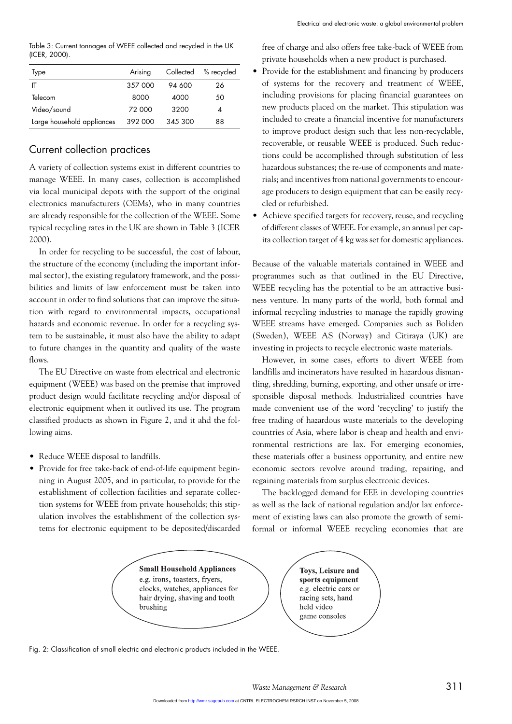Table 3: Current tonnages of WEEE collected and recycled in the UK (ICER, 2000).

| Type                       | Arising |         | Collected % recycled |
|----------------------------|---------|---------|----------------------|
|                            | 357 000 | 94 600  | 26                   |
| Telecom                    | 8000    | 4000    | 50                   |
| Video/sound                | 72 000  | 3200    |                      |
| Large household appliances | 392 000 | 345 300 | 88                   |

# Current collection practices

A variety of collection systems exist in different countries to manage WEEE. In many cases, collection is accomplished via local municipal depots with the support of the original electronics manufacturers (OEMs), who in many countries are already responsible for the collection of the WEEE. Some typical recycling rates in the UK are shown in Table 3 (ICER 2000).

In order for recycling to be successful, the cost of labour, the structure of the economy (including the important informal sector), the existing regulatory framework, and the possibilities and limits of law enforcement must be taken into account in order to find solutions that can improve the situation with regard to environmental impacts, occupational hazards and economic revenue. In order for a recycling system to be sustainable, it must also have the ability to adapt to future changes in the quantity and quality of the waste flows.

The EU Directive on waste from electrical and electronic equipment (WEEE) was based on the premise that improved product design would facilitate recycling and/or disposal of electronic equipment when it outlived its use. The program classified products as shown in Figure 2, and it ahd the following aims.

- Reduce WEEE disposal to landfills.
- Provide for free take-back of end-of-life equipment beginning in August 2005, and in particular, to provide for the establishment of collection facilities and separate collection systems for WEEE from private households; this stipulation involves the establishment of the collection systems for electronic equipment to be deposited/discarded

free of charge and also offers free take-back of WEEE from private households when a new product is purchased.

- Provide for the establishment and financing by producers of systems for the recovery and treatment of WEEE, including provisions for placing financial guarantees on new products placed on the market. This stipulation was included to create a financial incentive for manufacturers to improve product design such that less non-recyclable, recoverable, or reusable WEEE is produced. Such reductions could be accomplished through substitution of less hazardous substances; the re-use of components and materials; and incentives from national governments to encourage producers to design equipment that can be easily recycled or refurbished.
- Achieve specified targets for recovery, reuse, and recycling of different classes of WEEE. For example, an annual per capita collection target of 4 kg was set for domestic appliances.

Because of the valuable materials contained in WEEE and programmes such as that outlined in the EU Directive, WEEE recycling has the potential to be an attractive business venture. In many parts of the world, both formal and informal recycling industries to manage the rapidly growing WEEE streams have emerged. Companies such as Boliden (Sweden), WEEE AS (Norway) and Citiraya (UK) are investing in projects to recycle electronic waste materials.

However, in some cases, efforts to divert WEEE from landfills and incinerators have resulted in hazardous dismantling, shredding, burning, exporting, and other unsafe or irresponsible disposal methods. Industrialized countries have made convenient use of the word 'recycling' to justify the free trading of hazardous waste materials to the developing countries of Asia, where labor is cheap and health and environmental restrictions are lax. For emerging economies, these materials offer a business opportunity, and entire new economic sectors revolve around trading, repairing, and regaining materials from surplus electronic devices.

The backlogged demand for EEE in developing countries as well as the lack of national regulation and/or lax enforcement of existing laws can also promote the growth of semiformal or informal WEEE recycling economies that are



Fig. 2: Classification of small electric and electronic products included in the WEEE.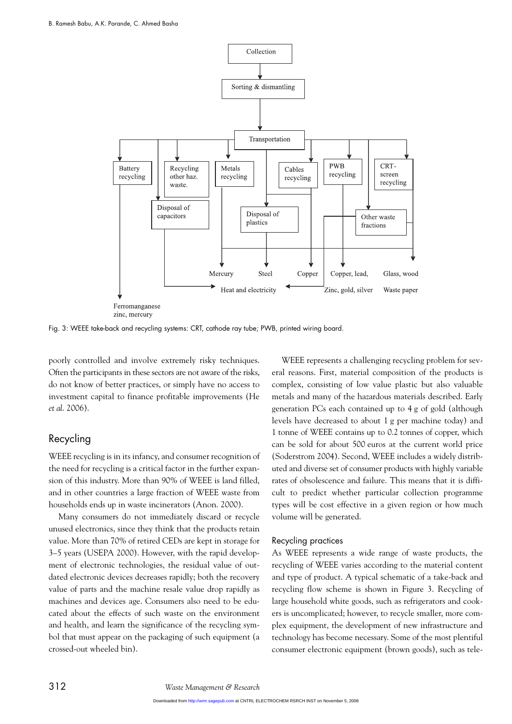

Fig. 3: WEEE take-back and recycling systems: CRT, cathode ray tube; PWB, printed wiring board.

poorly controlled and involve extremely risky techniques. Often the participants in these sectors are not aware of the risks, do not know of better practices, or simply have no access to investment capital to finance profitable improvements (He *et al*. 2006).

# Recycling

WEEE recycling is in its infancy, and consumer recognition of the need for recycling is a critical factor in the further expansion of this industry. More than 90% of WEEE is land filled, and in other countries a large fraction of WEEE waste from households ends up in waste incinerators (Anon. 2000).

Many consumers do not immediately discard or recycle unused electronics, since they think that the products retain value. More than 70% of retired CEDs are kept in storage for 3–5 years (USEPA 2000). However, with the rapid development of electronic technologies, the residual value of outdated electronic devices decreases rapidly; both the recovery value of parts and the machine resale value drop rapidly as machines and devices age. Consumers also need to be educated about the effects of such waste on the environment and health, and learn the significance of the recycling symbol that must appear on the packaging of such equipment (a crossed-out wheeled bin).

WEEE represents a challenging recycling problem for several reasons. First, material composition of the products is complex, consisting of low value plastic but also valuable metals and many of the hazardous materials described. Early generation PCs each contained up to 4 g of gold (although levels have decreased to about 1 g per machine today) and 1 tonne of WEEE contains up to 0.2 tonnes of copper, which can be sold for about 500 euros at the current world price (Soderstrom 2004). Second, WEEE includes a widely distributed and diverse set of consumer products with highly variable rates of obsolescence and failure. This means that it is difficult to predict whether particular collection programme types will be cost effective in a given region or how much volume will be generated.

## Recycling practices

As WEEE represents a wide range of waste products, the recycling of WEEE varies according to the material content and type of product. A typical schematic of a take-back and recycling flow scheme is shown in Figure 3. Recycling of large household white goods, such as refrigerators and cookers is uncomplicated; however, to recycle smaller, more complex equipment, the development of new infrastructure and technology has become necessary. Some of the most plentiful consumer electronic equipment (brown goods), such as tele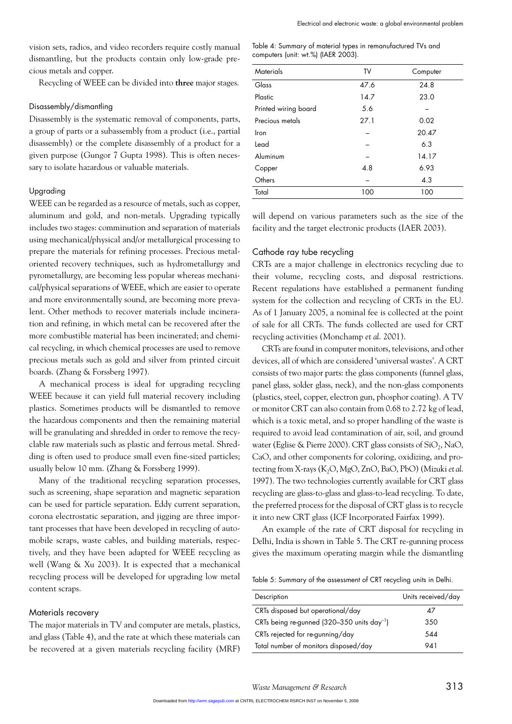vision sets, radios, and video recorders require costly manual dismantling, but the products contain only low-grade precious metals and copper.

Recycling of WEEE can be divided into **three** major stages.

#### Disassembly/dismantling

Disassembly is the systematic removal of components, parts, a group of parts or a subassembly from a product (i.e., partial disassembly) or the complete disassembly of a product for a given purpose (Gungor 7 Gupta 1998). This is often necessary to isolate hazardous or valuable materials.

#### Uparadina

WEEE can be regarded as a resource of metals, such as copper, aluminum and gold, and non-metals. Upgrading typically includes two stages: comminution and separation of materials using mechanical/physical and/or metallurgical processing to prepare the materials for refining processes. Precious metaloriented recovery techniques, such as hydrometallurgy and pyrometallurgy, are becoming less popular whereas mechanical/physical separations of WEEE, which are easier to operate and more environmentally sound, are becoming more prevalent. Other methods to recover materials include incineration and refining, in which metal can be recovered after the more combustible material has been incinerated; and chemical recycling, in which chemical processes are used to remove precious metals such as gold and silver from printed circuit boards. (Zhang & Forssberg 1997).

A mechanical process is ideal for upgrading recycling WEEE because it can yield full material recovery including plastics. Sometimes products will be dismantled to remove the hazardous components and then the remaining material will be granulating and shredded in order to remove the recyclable raw materials such as plastic and ferrous metal. Shredding is often used to produce small even fine-sized particles; usually below 10 mm. (Zhang & Forssberg 1999).

Many of the traditional recycling separation processes, such as screening, shape separation and magnetic separation can be used for particle separation. Eddy current separation, corona electrostatic separation, and jigging are three important processes that have been developed in recycling of automobile scraps, waste cables, and building materials, respectively, and they have been adapted for WEEE recycling as well (Wang & Xu 2003). It is expected that a mechanical recycling process will be developed for upgrading low metal content scraps.

#### Materials recovery

The major materials in TV and computer are metals, plastics, and glass (Table 4), and the rate at which these materials can be recovered at a given materials recycling facility (MRF)

| Table 4: Summary of material types in remanufactured TVs and |
|--------------------------------------------------------------|
| computers (unit: wt.%) (IAER 2003).                          |

| <b>Materials</b>     | TV   | Computer |
|----------------------|------|----------|
| Glass                | 47.6 | 24.8     |
| Plastic              | 14.7 | 23.0     |
| Printed wiring board | 5.6  |          |
| Precious metals      | 27.1 | 0.02     |
| Iron                 |      | 20.47    |
| Lead                 |      | 6.3      |
| Aluminum             |      | 14.17    |
| Copper               | 4.8  | 6.93     |
| Others               |      | 4.3      |
| Total                | 100  | 100      |

will depend on various parameters such as the size of the facility and the target electronic products (IAER 2003).

## Cathode ray tube recycling

CRTs are a major challenge in electronics recycling due to their volume, recycling costs, and disposal restrictions. Recent regulations have established a permanent funding system for the collection and recycling of CRTs in the EU. As of 1 January 2005, a nominal fee is collected at the point of sale for all CRTs. The funds collected are used for CRT recycling activities (Monchamp *et al*. 2001).

CRTs are found in computer monitors, televisions, and other devices, all of which are considered 'universal wastes'. A CRT consists of two major parts: the glass components (funnel glass, panel glass, solder glass, neck), and the non-glass components (plastics, steel, copper, electron gun, phosphor coating). A TV or monitor CRT can also contain from 0.68 to 2.72 kg of lead, which is a toxic metal, and so proper handling of the waste is required to avoid lead contamination of air, soil, and ground water (Eglise & Pierre 2000). CRT glass consists of  $SiO<sub>2</sub>$ , NaO, CaO, and other components for coloring, oxidizing, and protecting from X-rays (K2O, MgO, ZnO, BaO, PbO) (Mizuki *et al*. 1997). The two technologies currently available for CRT glass recycling are glass-to-glass and glass-to-lead recycling. To date, the preferred process for the disposal of CRT glass is to recycle it into new CRT glass (ICF Incorporated Fairfax 1999).

An example of the rate of CRT disposal for recycling in Delhi, India is shown in Table 5. The CRT re-gunning process gives the maximum operating margin while the dismantling

Table 5: Summary of the assessment of CRT recycling units in Delhi.

| Description                                             | Units received/day |
|---------------------------------------------------------|--------------------|
| CRTs disposed but operational/day                       |                    |
| CRTs being re-gunned (320-350 units day <sup>-1</sup> ) | 350                |
| CRTs rejected for re-gunning/day                        | 544                |
| Total number of monitors disposed/day                   | 941                |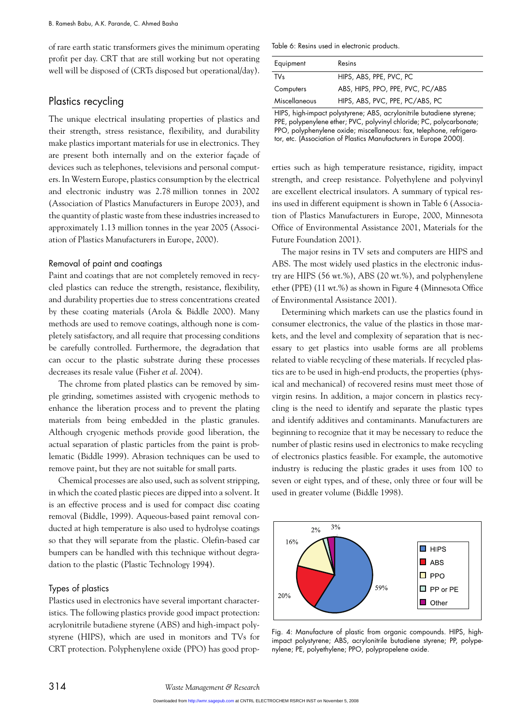of rare earth static transformers gives the minimum operating profit per day. CRT that are still working but not operating well will be disposed of (CRTs disposed but operational/day).

## Plastics recycling

The unique electrical insulating properties of plastics and their strength, stress resistance, flexibility, and durability make plastics important materials for use in electronics. They are present both internally and on the exterior façade of devices such as telephones, televisions and personal computers. In Western Europe, plastics consumption by the electrical and electronic industry was 2.78 million tonnes in 2002 (Association of Plastics Manufacturers in Europe 2003), and the quantity of plastic waste from these industries increased to approximately 1.13 million tonnes in the year 2005 (Association of Plastics Manufacturers in Europe, 2000).

#### Removal of paint and coatings

Paint and coatings that are not completely removed in recycled plastics can reduce the strength, resistance, flexibility, and durability properties due to stress concentrations created by these coating materials (Arola & Biddle 2000). Many methods are used to remove coatings, although none is completely satisfactory, and all require that processing conditions be carefully controlled. Furthermore, the degradation that can occur to the plastic substrate during these processes decreases its resale value (Fisher *et al*. 2004).

The chrome from plated plastics can be removed by simple grinding, sometimes assisted with cryogenic methods to enhance the liberation process and to prevent the plating materials from being embedded in the plastic granules. Although cryogenic methods provide good liberation, the actual separation of plastic particles from the paint is problematic (Biddle 1999). Abrasion techniques can be used to remove paint, but they are not suitable for small parts.

Chemical processes are also used, such as solvent stripping, in which the coated plastic pieces are dipped into a solvent. It is an effective process and is used for compact disc coating removal (Biddle, 1999). Aqueous-based paint removal conducted at high temperature is also used to hydrolyse coatings so that they will separate from the plastic. Olefin-based car bumpers can be handled with this technique without degradation to the plastic (Plastic Technology 1994).

## Types of plastics

Plastics used in electronics have several important characteristics. The following plastics provide good impact protection: acrylonitrile butadiene styrene (ABS) and high-impact polystyrene (HIPS), which are used in monitors and TVs for CRT protection. Polyphenylene oxide (PPO) has good prop-

Table 6: Resins used in electronic products.

| Equipment     | Resins                           |
|---------------|----------------------------------|
| TVs           | HIPS, ABS, PPE, PVC, PC          |
| Computers     | ABS, HIPS, PPO, PPE, PVC, PC/ABS |
| Miscellaneous | HIPS, ABS, PVC, PPE, PC/ABS, PC  |

HIPS, high-impact polystyrene; ABS, acrylonitrile butadiene styrene; PPE, polypenylene ether; PVC, polyvinyl chloride; PC, polycarbonate; PPO, polyphenylene oxide; miscellaneous: fax, telephone, refrigerator, etc. (Association of Plastics Manufacturers in Europe 2000).

erties such as high temperature resistance, rigidity, impact strength, and creep resistance. Polyethylene and polyvinyl are excellent electrical insulators. A summary of typical resins used in different equipment is shown in Table 6 (Association of Plastics Manufacturers in Europe, 2000, Minnesota Office of Environmental Assistance 2001, Materials for the Future Foundation 2001).

The major resins in TV sets and computers are HIPS and ABS. The most widely used plastics in the electronic industry are HIPS (56 wt.%), ABS (20 wt.%), and polyphenylene ether (PPE) (11 wt.%) as shown in Figure 4 (Minnesota Office of Environmental Assistance 2001).

Determining which markets can use the plastics found in consumer electronics, the value of the plastics in those markets, and the level and complexity of separation that is necessary to get plastics into usable forms are all problems related to viable recycling of these materials. If recycled plastics are to be used in high-end products, the properties (physical and mechanical) of recovered resins must meet those of virgin resins. In addition, a major concern in plastics recycling is the need to identify and separate the plastic types and identify additives and contaminants. Manufacturers are beginning to recognize that it may be necessary to reduce the number of plastic resins used in electronics to make recycling of electronics plastics feasible. For example, the automotive industry is reducing the plastic grades it uses from 100 to seven or eight types, and of these, only three or four will be used in greater volume (Biddle 1998).



Fig. 4: Manufacture of plastic from organic compounds. HIPS, highimpact polystyrene; ABS, acrylonitrile butadiene styrene; PP, polypenylene; PE, polyethylene; PPO, polypropelene oxide.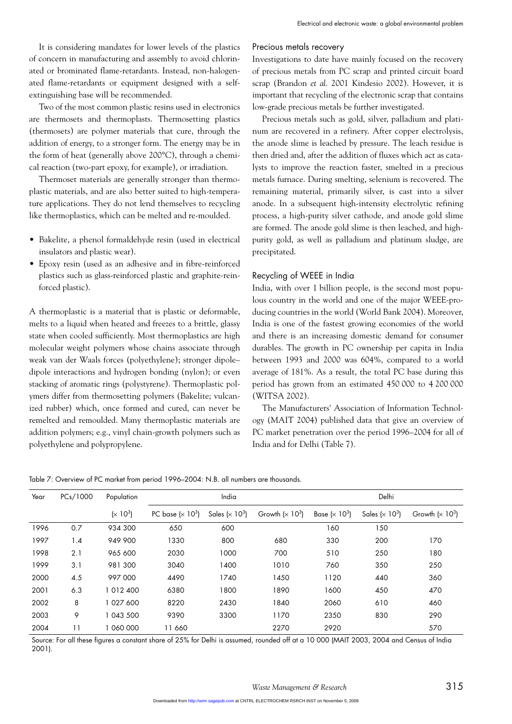It is considering mandates for lower levels of the plastics of concern in manufacturing and assembly to avoid chlorinated or brominated flame-retardants. Instead, non-halogenated flame-retardants or equipment designed with a selfextinguishing base will be recommended.

Two of the most common plastic resins used in electronics are thermosets and thermoplasts. Thermosetting plastics (thermosets) are polymer materials that cure, through the addition of energy, to a stronger form. The energy may be in the form of heat (generally above 200°C), through a chemical reaction (two-part epoxy, for example), or irradiation.

Thermoset materials are generally stronger than thermoplastic materials, and are also better suited to high-temperature applications. They do not lend themselves to recycling like thermoplastics, which can be melted and re-moulded.

- Bakelite, a phenol formaldehyde resin (used in electrical insulators and plastic wear).
- Epoxy resin (used as an adhesive and in fibre-reinforced plastics such as glass-reinforced plastic and graphite-reinforced plastic).

A thermoplastic is a material that is plastic or deformable, melts to a liquid when heated and freezes to a brittle, glassy state when cooled sufficiently. Most thermoplastics are high molecular weight polymers whose chains associate through weak van der Waals forces (polyethylene); stronger dipole– dipole interactions and hydrogen bonding (nylon); or even stacking of aromatic rings (polystyrene). Thermoplastic polymers differ from thermosetting polymers (Bakelite; vulcanized rubber) which, once formed and cured, can never be remelted and remoulded. Many thermoplastic materials are addition polymers; e.g., vinyl chain-growth polymers such as polyethylene and polypropylene.

#### Precious metals recovery

Investigations to date have mainly focused on the recovery of precious metals from PC scrap and printed circuit board scrap (Brandon *et al*. 2001 Kindesio 2002). However, it is important that recycling of the electronic scrap that contains low-grade precious metals be further investigated.

Precious metals such as gold, silver, palladium and platinum are recovered in a refinery. After copper electrolysis, the anode slime is leached by pressure. The leach residue is then dried and, after the addition of fluxes which act as catalysts to improve the reaction faster, smelted in a precious metals furnace. During smelting, selenium is recovered. The remaining material, primarily silver, is cast into a silver anode. In a subsequent high-intensity electrolytic refining process, a high-purity silver cathode, and anode gold slime are formed. The anode gold slime is then leached, and highpurity gold, as well as palladium and platinum sludge, are precipitated.

#### Recycling of WEEE in India

India, with over 1 billion people, is the second most populous country in the world and one of the major WEEE-producing countries in the world (World Bank 2004). Moreover, India is one of the fastest growing economies of the world and there is an increasing domestic demand for consumer durables. The growth in PC ownership per capita in India between 1993 and 2000 was 604%, compared to a world average of 181%. As a result, the total PC base during this period has grown from an estimated 450 000 to 4 200 000 (WITSA 2002).

The Manufacturers' Association of Information Technology (MAIT 2004) published data that give an overview of PC market penetration over the period 1996–2004 for all of India and for Delhi (Table 7).

Table 7: Overview of PC market from period 1996–2004: N.B. all numbers are thousands.

| Year | PC <sub>s</sub> /1000 | Population | India                              |                                    | Delhi             |                                   |                                    |                  |
|------|-----------------------|------------|------------------------------------|------------------------------------|-------------------|-----------------------------------|------------------------------------|------------------|
|      |                       | $(x 10^3)$ | PC base $\left[\times 10^3\right]$ | Sales ( $\times$ 10 <sup>3</sup> ) | Growth $(x 10^3)$ | Base ( $\times$ 10 <sup>3</sup> ) | Sales ( $\times$ 10 <sup>3</sup> ) | Growth $(x 103)$ |
| 1996 | 0.7                   | 934 300    | 650                                | 600                                |                   | 160                               | 150                                |                  |
| 1997 | 1.4                   | 949 900    | 1330                               | 800                                | 680               | 330                               | 200                                | 170              |
| 1998 | 2.1                   | 965 600    | 2030                               | 1000                               | 700               | 510                               | 250                                | 180              |
| 1999 | 3.1                   | 981 300    | 3040                               | 1400                               | 1010              | 760                               | 350                                | 250              |
| 2000 | 4.5                   | 997 000    | 4490                               | 1740                               | 1450              | 1120                              | 440                                | 360              |
| 2001 | 6.3                   | 1 012 400  | 6380                               | 1800                               | 1890              | 1600                              | 450                                | 470              |
| 2002 | 8                     | l 027 600  | 8220                               | 2430                               | 1840              | 2060                              | 610                                | 460              |
| 2003 | 9                     | 043 500    | 9390                               | 3300                               | 1170              | 2350                              | 830                                | 290              |
| 2004 | 11                    | 060 000    | 11 660                             |                                    | 2270              | 2920                              |                                    | 570              |

Source: For all these figures a constant share of 25% for Delhi is assumed, rounded off at a 10 000 (MAIT 2003, 2004 and Census of India 2001).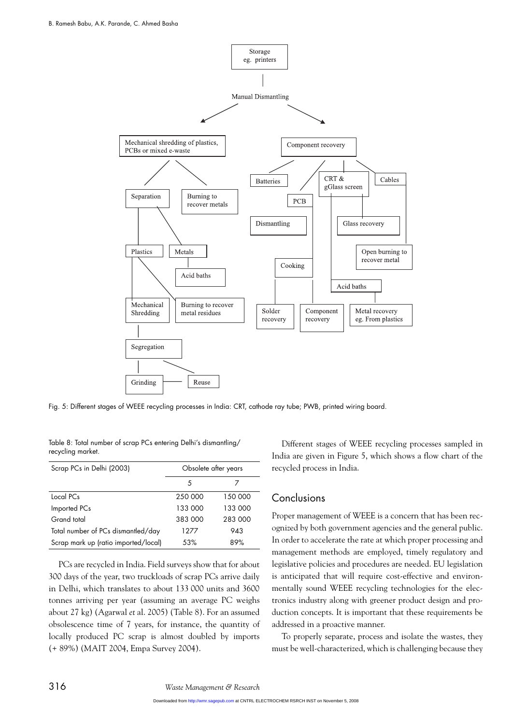

Fig. 5: Different stages of WEEE recycling processes in India: CRT, cathode ray tube; PWB, printed wiring board.

Table 8: Total number of scrap PCs entering Delhi's dismantling/ recycling market.

| Scrap PCs in Delhi (2003)            | Obsolete after years |         |  |
|--------------------------------------|----------------------|---------|--|
|                                      | .5                   |         |  |
| Local PCs                            | 250 000              | 150 000 |  |
| Imported PCs                         | 133 000              | 133 000 |  |
| Grand total                          | 383 000              | 283 000 |  |
| Total number of PCs dismantled/day   | 1277                 | 943     |  |
| Scrap mark up (ratio imported/local) | 53%                  | 89%     |  |

PCs are recycled in India. Field surveys show that for about 300 days of the year, two truckloads of scrap PCs arrive daily in Delhi, which translates to about 133 000 units and 3600 tonnes arriving per year (assuming an average PC weighs about 27 kg) (Agarwal *et* al. 2005) (Table 8). For an assumed obsolescence time of 7 years, for instance, the quantity of locally produced PC scrap is almost doubled by imports (+ 89%) (MAIT 2004, Empa Survey 2004).

Different stages of WEEE recycling processes sampled in India are given in Figure 5, which shows a flow chart of the recycled process in India.

## Conclusions

Proper management of WEEE is a concern that has been recognized by both government agencies and the general public. In order to accelerate the rate at which proper processing and management methods are employed, timely regulatory and legislative policies and procedures are needed. EU legislation is anticipated that will require cost-effective and environmentally sound WEEE recycling technologies for the electronics industry along with greener product design and production concepts. It is important that these requirements be addressed in a proactive manner.

To properly separate, process and isolate the wastes, they must be well-characterized, which is challenging because they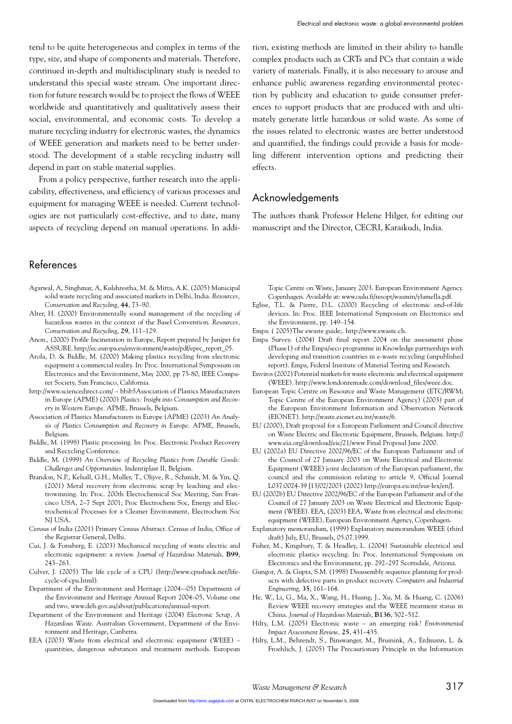tend to be quite heterogeneous and complex in terms of the type, size, and shape of components and materials. Therefore, continued in-depth and multidisciplinary study is needed to understand this special waste stream. One important direction for future research would be to project the flows of WEEE worldwide and quantitatively and qualitatively assess their social, environmental, and economic costs. To develop a mature recycling industry for electronic wastes, the dynamics of WEEE generation and markets need to be better understood. The development of a stable recycling industry will depend in part on stable material supplies.

From a policy perspective, further research into the applicability, effectiveness, and efficiency of various processes and equipment for managing WEEE is needed. Current technologies are not particularly cost-effective, and to date, many aspects of recycling depend on manual operations. In addi-

# References

- Agarwal, A, Singhmar, A, Kulshrestha, M. & Mitta, A.K. (2005) Municipal solid waste recycling and associated markets in Delhi, India. *Resources, Conservation and Recycling*, **44**, 73–90.
- Alter, H. (2000) Environmentally sound management of the recycling of hazardous wastes in the context of the Basel Convention. *Resources, Conservation and Recycling*, **29**, 111–129.
- Anon., (2000) Profile Incineration in Europe, Report prepared by Juniper for ASSURE. http://ec.europa.eu/environment/waste/pdf/epec\_report\_05.
- Arola, D. & Biddle, M. (2000) Making plastics recycling from electronic equipment a commercial reality. In: Proc. International Symposium on Electronics and the Environment, May 2000, pp 75-80, IEEE Computer Society, San Francisco, California.
- http://www.sciencedirect.com/ bbib5Association of Plastics Manufacturers in Europe (APME) (2000) *Plastics: Insight into Consumption and Recovery in Western Europe*. APME, Brussels, Belgium.
- Association of Plastics Manufacturers in Europe (APME) (2003) *An Analysis of Plastics Consumption and Recovery in Europe*. APME, Brussels, Belgium.
- Biddle, M. (1998) Plastic processing. In: Proc. Electronic Product Recovery and Recycling Conference.
- Biddle, M. (1999) *An Overview of Recycling Plastics from Durable Goods: Challenges and Opportunities*. Indentiplast II, Belgium.
- Brandon, N.P., Kelsall, G.H., Muller, T., Olijve, R., Schmidt, M. & Yin, Q. (2001) Metal recovery from electronic scrap by leaching and electrowinning. In: Proc. 200th Electochemical Soc Meeting, San Francisco USA, 2–7 Sept 2001; Proc Electrochem Soc, Energy and Electrochemical Processes for a Cleaner Environment, Electrochem Soc NJ USA.
- Census of India (2001) Primary Census Abstract. Census of India, Office of the Registrar General, Delhi.
- Cui, J. & Forssberg, E. (2003) Mechanical recycling of waste electric and electronic equipment: a review. *Journal of Hazardous Materials*, **B99**, 243–263.
- Culver, J. (2005) The life cycle of a CPU (http://www.cpushack.net/lifecycle-of-cpu.html).
- Department of the Environment and Heritage (2004–-05) Department of the Environment and Heritage Annual Report 2004–05, Volume one and two, www.deh.gov.au/about/publications/annual-report.
- Department of the Environment and Heritage (2004) *Electronic Scrap, A Hazardous Waste*. Australian Government, Department of the Environment and Heritage, Canberra.
- EEA (2003) Waste from electrical and electronic equipment (WEEE) quantities, dangerous substances and treatment methods. European

tion, existing methods are limited in their ability to handle complex products such as CRTs and PCs that contain a wide variety of materials. Finally, it is also necessary to arouse and enhance public awareness regarding environmental protection by publicity and education to guide consumer preferences to support products that are produced with and ultimately generate little hazardous or solid waste. As some of the issues related to electronic wastes are better understood and quantified, the findings could provide a basis for modeling different intervention options and predicting their effects.

# **Acknowledgements**

The authors thank Professor Helene Hilger, for editing our manuscript and the Director, CECRI, Karaikudi, India.

Topic Centre on Waste, January 2003. European Environment Agency. Copenhagen. Available at: www.oulu.fi/resopt/wasmin/ylamella.pdf.

- Eglise, T.L. & Pierre, D.L. (2000) Recycling of electronic end-of-life devices. In: Proc. IEEE International Symposium on Electronics and the Environment, pp. 149–154.
- Empa. ( 2005)The ewaste guide;. http://www.ewaste.ch.
- Empa Survey. (2004) Draft final report 2004 on the assessment phase (Phase1) of the Empa/seco programme in Knowledge partnerships with developing and transition countries in e-waste recycling (unpublished report). Empa, Federal Institute of Material Testing and Research.
- Enviros (2002) Potential markets for waste electronic and electrical equipment (WEEE). http://www.londonremade.com/download\_files/weee.doc.
- European Topic Centre on Resource and Waste Management (ETC/RWM; Topic Centre of the European Environment Agency) (2003) part of the European Environment Information and Observation Network (EIONET). http://waste.eionet.eu.int/waste/6.
- EU (2000), Draft proposal for a European Parliament and Council directive on Waste Electric and Electronic Equipment, Brussels, Belgium. http:// www.eia.org/download/eic/21/www Final Proposal June 2000.
- EU (2002a) EU Directive 2002/96/EC of the European Parliament and of the Council of 27 January 2003 on Waste Electrical and Electronic Equipment (WEEE) joint declaration of the European parliament, the council and the commission relating to article 9, Official Journal L037:0024-39 [13/02/2003 (2002) http://europa.eu.int/eur-lex/en/].
- EU (2002b) EU Directive 2002/96/EC of the European Parliament and of the Council of 27 January 2003 on Waste Electrical and Electronic Equipment (WEEE). EEA, (2003) EEA, Waste from electrical and electronic equipment (WEEE), European Environment Agency, Copenhagen.
- Explanatory memorandum, (1999) Explanatory memorandum WEEE (third draft) July, EU, Brussels, 05.07.1999.
- Fisher, M., Kingsbury, T. & Headley, L. (2004) Sustainable electrical and electronic plastics recycling. In: Proc. International Symposium on Electronics and the Environment, pp. 292–297 Scottsdale, Arizona.
- Gungor, A. & Gupta, S.M. (1998) Disassembly sequence planning for products with defective parts in product recovery. *Computers and Industrial Engineering*, **35**, 161–164.
- He, W., Li, G., Ma, X., Wang, H., Huang, J., Xu, M. & Huang, C. (2006) Review WEEE recovery strategies and the WEEE treatment status in China. *Journal of Hazardous Materials*, **B136**, 502–512.
- Hilty, L.M. (2005) Electronic waste an emerging risk? *Environmental Impact Assessment Review,* **25**, 431–435.
- Hilty, L.M., Behrendt, S., Binswanger, M., Bruinink, A., Erdmann, L. & Froehlich, J. (2005) The Precautionary Principle in the Information